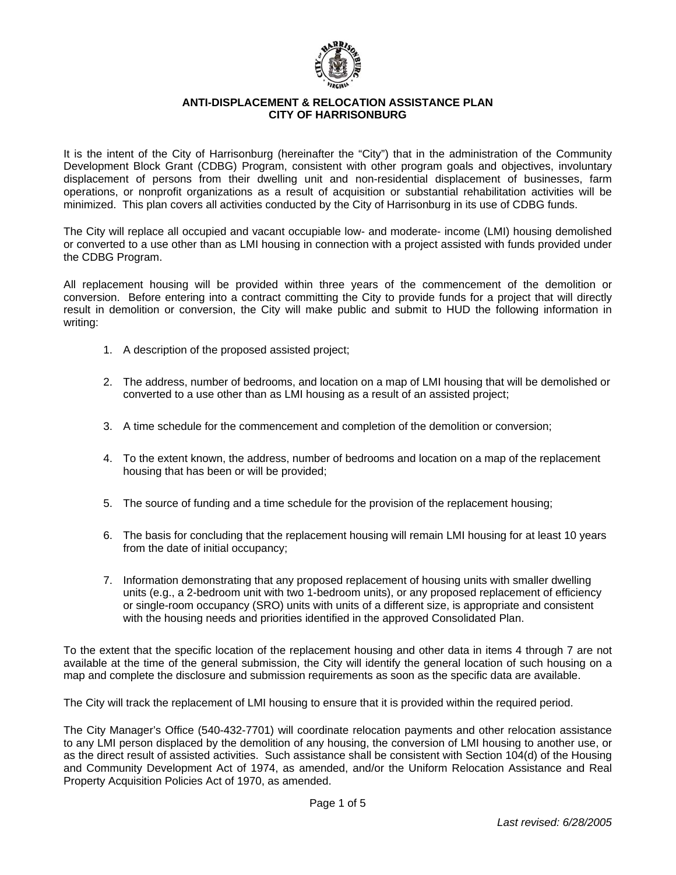

# **ANTI-DISPLACEMENT & RELOCATION ASSISTANCE PLAN CITY OF HARRISONBURG**

It is the intent of the City of Harrisonburg (hereinafter the "City") that in the administration of the Community Development Block Grant (CDBG) Program, consistent with other program goals and objectives, involuntary displacement of persons from their dwelling unit and non-residential displacement of businesses, farm operations, or nonprofit organizations as a result of acquisition or substantial rehabilitation activities will be minimized. This plan covers all activities conducted by the City of Harrisonburg in its use of CDBG funds.

The City will replace all occupied and vacant occupiable low- and moderate- income (LMI) housing demolished or converted to a use other than as LMI housing in connection with a project assisted with funds provided under the CDBG Program.

All replacement housing will be provided within three years of the commencement of the demolition or conversion. Before entering into a contract committing the City to provide funds for a project that will directly result in demolition or conversion, the City will make public and submit to HUD the following information in writing:

- 1. A description of the proposed assisted project;
- 2. The address, number of bedrooms, and location on a map of LMI housing that will be demolished or converted to a use other than as LMI housing as a result of an assisted project;
- 3. A time schedule for the commencement and completion of the demolition or conversion;
- 4. To the extent known, the address, number of bedrooms and location on a map of the replacement housing that has been or will be provided;
- 5. The source of funding and a time schedule for the provision of the replacement housing;
- 6. The basis for concluding that the replacement housing will remain LMI housing for at least 10 years from the date of initial occupancy;
- 7. Information demonstrating that any proposed replacement of housing units with smaller dwelling units (e.g., a 2-bedroom unit with two 1-bedroom units), or any proposed replacement of efficiency or single-room occupancy (SRO) units with units of a different size, is appropriate and consistent with the housing needs and priorities identified in the approved Consolidated Plan.

To the extent that the specific location of the replacement housing and other data in items 4 through 7 are not available at the time of the general submission, the City will identify the general location of such housing on a map and complete the disclosure and submission requirements as soon as the specific data are available.

The City will track the replacement of LMI housing to ensure that it is provided within the required period.

The City Manager's Office (540-432-7701) will coordinate relocation payments and other relocation assistance to any LMI person displaced by the demolition of any housing, the conversion of LMI housing to another use, or as the direct result of assisted activities. Such assistance shall be consistent with Section 104(d) of the Housing and Community Development Act of 1974, as amended, and/or the Uniform Relocation Assistance and Real Property Acquisition Policies Act of 1970, as amended.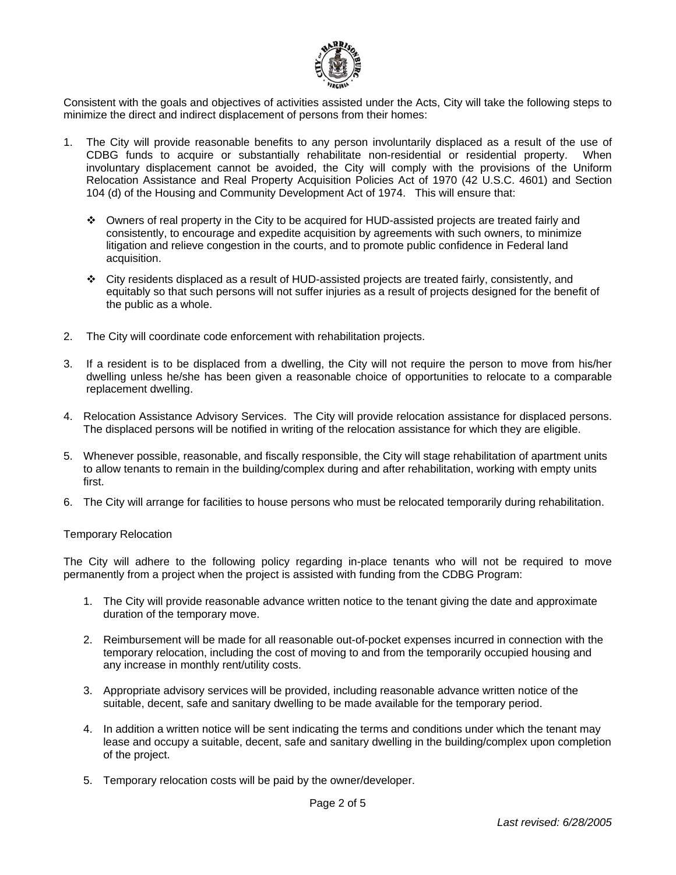

Consistent with the goals and objectives of activities assisted under the Acts, City will take the following steps to minimize the direct and indirect displacement of persons from their homes:

- 1. The City will provide reasonable benefits to any person involuntarily displaced as a result of the use of CDBG funds to acquire or substantially rehabilitate non-residential or residential property. When involuntary displacement cannot be avoided, the City will comply with the provisions of the Uniform Relocation Assistance and Real Property Acquisition Policies Act of 1970 (42 U.S.C. 4601) and Section 104 (d) of the Housing and Community Development Act of 1974. This will ensure that:
	- Owners of real property in the City to be acquired for HUD-assisted projects are treated fairly and consistently, to encourage and expedite acquisition by agreements with such owners, to minimize litigation and relieve congestion in the courts, and to promote public confidence in Federal land acquisition.
	- City residents displaced as a result of HUD-assisted projects are treated fairly, consistently, and equitably so that such persons will not suffer injuries as a result of projects designed for the benefit of the public as a whole.
- 2. The City will coordinate code enforcement with rehabilitation projects.
- 3. If a resident is to be displaced from a dwelling, the City will not require the person to move from his/her dwelling unless he/she has been given a reasonable choice of opportunities to relocate to a comparable replacement dwelling.
- 4. Relocation Assistance Advisory Services. The City will provide relocation assistance for displaced persons. The displaced persons will be notified in writing of the relocation assistance for which they are eligible.
- 5. Whenever possible, reasonable, and fiscally responsible, the City will stage rehabilitation of apartment units to allow tenants to remain in the building/complex during and after rehabilitation, working with empty units first.
- 6. The City will arrange for facilities to house persons who must be relocated temporarily during rehabilitation.

# Temporary Relocation

The City will adhere to the following policy regarding in-place tenants who will not be required to move permanently from a project when the project is assisted with funding from the CDBG Program:

- 1. The City will provide reasonable advance written notice to the tenant giving the date and approximate duration of the temporary move.
- 2. Reimbursement will be made for all reasonable out-of-pocket expenses incurred in connection with the temporary relocation, including the cost of moving to and from the temporarily occupied housing and any increase in monthly rent/utility costs.
- 3. Appropriate advisory services will be provided, including reasonable advance written notice of the suitable, decent, safe and sanitary dwelling to be made available for the temporary period.
- 4. In addition a written notice will be sent indicating the terms and conditions under which the tenant may lease and occupy a suitable, decent, safe and sanitary dwelling in the building/complex upon completion of the project.
- 5. Temporary relocation costs will be paid by the owner/developer.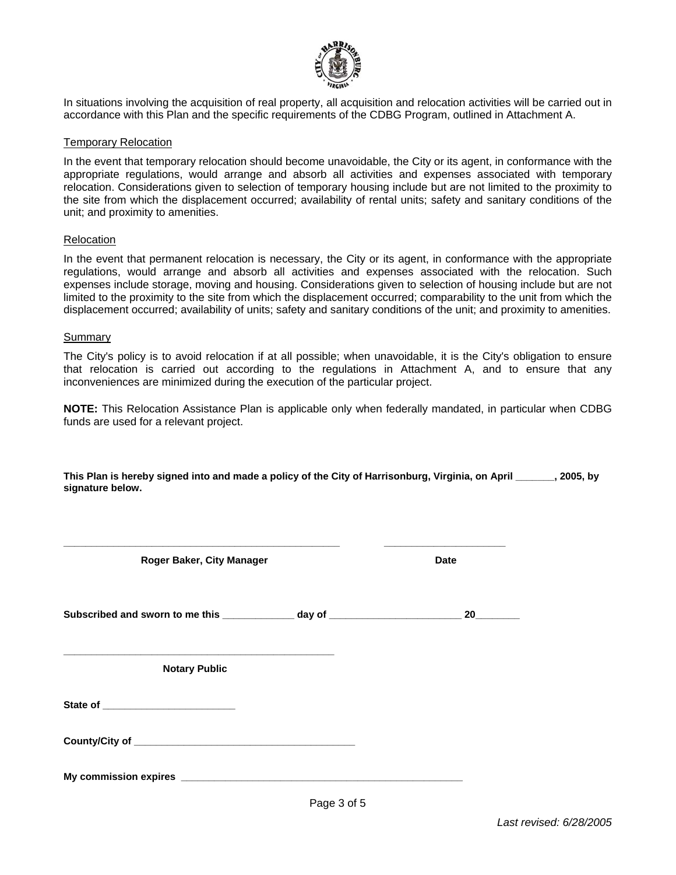

In situations involving the acquisition of real property, all acquisition and relocation activities will be carried out in accordance with this Plan and the specific requirements of the CDBG Program, outlined in Attachment A.

### Temporary Relocation

In the event that temporary relocation should become unavoidable, the City or its agent, in conformance with the appropriate regulations, would arrange and absorb all activities and expenses associated with temporary relocation. Considerations given to selection of temporary housing include but are not limited to the proximity to the site from which the displacement occurred; availability of rental units; safety and sanitary conditions of the unit; and proximity to amenities.

### Relocation

In the event that permanent relocation is necessary, the City or its agent, in conformance with the appropriate regulations, would arrange and absorb all activities and expenses associated with the relocation. Such expenses include storage, moving and housing. Considerations given to selection of housing include but are not limited to the proximity to the site from which the displacement occurred; comparability to the unit from which the displacement occurred; availability of units; safety and sanitary conditions of the unit; and proximity to amenities.

#### Summary

The City's policy is to avoid relocation if at all possible; when unavoidable, it is the City's obligation to ensure that relocation is carried out according to the regulations in Attachment A, and to ensure that any inconveniences are minimized during the execution of the particular project.

**NOTE:** This Relocation Assistance Plan is applicable only when federally mandated, in particular when CDBG funds are used for a relevant project.

This Plan is hereby signed into and made a policy of the City of Harrisonburg, Virginia, on April **1995**, by **signature below.** 

| Roger Baker, City Manager                                                        |  | <b>Date</b> |  |
|----------------------------------------------------------------------------------|--|-------------|--|
| Subscribed and sworn to me this _____________ day of ___________________________ |  | 20          |  |
| <b>Notary Public</b>                                                             |  |             |  |
| State of _____________________________                                           |  |             |  |
|                                                                                  |  |             |  |
|                                                                                  |  |             |  |

**\_\_\_\_\_\_\_\_\_\_\_\_\_\_\_\_\_\_\_\_\_\_\_\_\_\_\_\_\_\_\_\_\_\_\_\_\_\_\_\_\_\_\_\_\_\_\_\_\_\_ \_\_\_\_\_\_\_\_\_\_\_\_\_\_\_\_\_\_\_\_\_\_**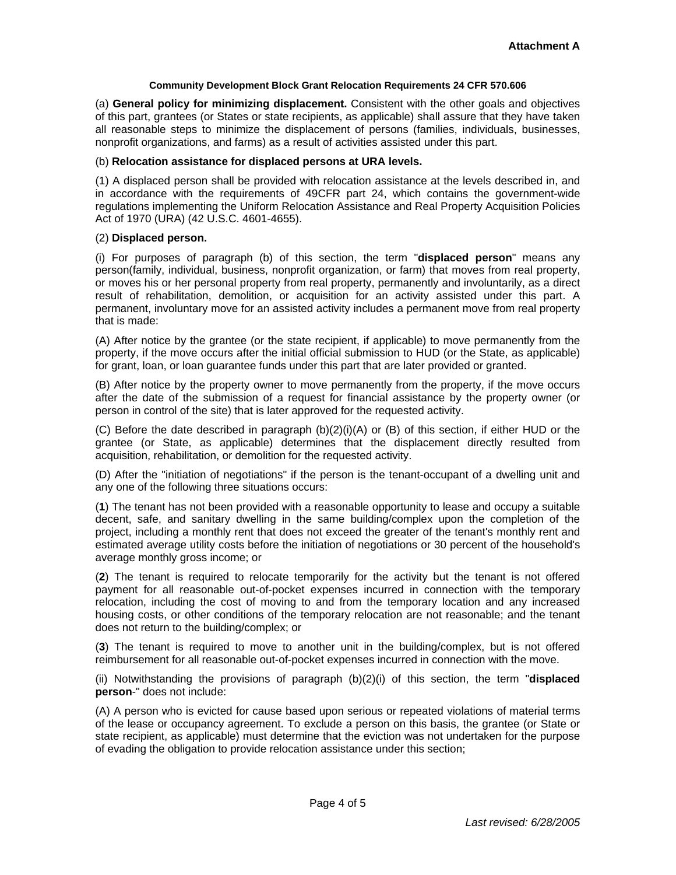### **Community Development Block Grant Relocation Requirements 24 CFR 570.606**

(a) **General policy for minimizing displacement.** Consistent with the other goals and objectives of this part, grantees (or States or state recipients, as applicable) shall assure that they have taken all reasonable steps to minimize the displacement of persons (families, individuals, businesses, nonprofit organizations, and farms) as a result of activities assisted under this part.

### (b) **Relocation assistance for displaced persons at URA levels.**

(1) A displaced person shall be provided with relocation assistance at the levels described in, and in accordance with the requirements of 49CFR part 24, which contains the government-wide regulations implementing the Uniform Relocation Assistance and Real Property Acquisition Policies Act of 1970 (URA) (42 U.S.C. 4601-4655).

### (2) **Displaced person.**

(i) For purposes of paragraph (b) of this section, the term "**displaced person**" means any person(family, individual, business, nonprofit organization, or farm) that moves from real property, or moves his or her personal property from real property, permanently and involuntarily, as a direct result of rehabilitation, demolition, or acquisition for an activity assisted under this part. A permanent, involuntary move for an assisted activity includes a permanent move from real property that is made:

(A) After notice by the grantee (or the state recipient, if applicable) to move permanently from the property, if the move occurs after the initial official submission to HUD (or the State, as applicable) for grant, loan, or loan guarantee funds under this part that are later provided or granted.

(B) After notice by the property owner to move permanently from the property, if the move occurs after the date of the submission of a request for financial assistance by the property owner (or person in control of the site) that is later approved for the requested activity.

(C) Before the date described in paragraph (b)(2)(i)(A) or (B) of this section, if either HUD or the grantee (or State, as applicable) determines that the displacement directly resulted from acquisition, rehabilitation, or demolition for the requested activity.

(D) After the "initiation of negotiations" if the person is the tenant-occupant of a dwelling unit and any one of the following three situations occurs:

(**1**) The tenant has not been provided with a reasonable opportunity to lease and occupy a suitable decent, safe, and sanitary dwelling in the same building/complex upon the completion of the project, including a monthly rent that does not exceed the greater of the tenant's monthly rent and estimated average utility costs before the initiation of negotiations or 30 percent of the household's average monthly gross income; or

(**2**) The tenant is required to relocate temporarily for the activity but the tenant is not offered payment for all reasonable out-of-pocket expenses incurred in connection with the temporary relocation, including the cost of moving to and from the temporary location and any increased housing costs, or other conditions of the temporary relocation are not reasonable; and the tenant does not return to the building/complex; or

(**3**) The tenant is required to move to another unit in the building/complex, but is not offered reimbursement for all reasonable out-of-pocket expenses incurred in connection with the move.

(ii) Notwithstanding the provisions of paragraph (b)(2)(i) of this section, the term "**displaced person**-" does not include:

(A) A person who is evicted for cause based upon serious or repeated violations of material terms of the lease or occupancy agreement. To exclude a person on this basis, the grantee (or State or state recipient, as applicable) must determine that the eviction was not undertaken for the purpose of evading the obligation to provide relocation assistance under this section;